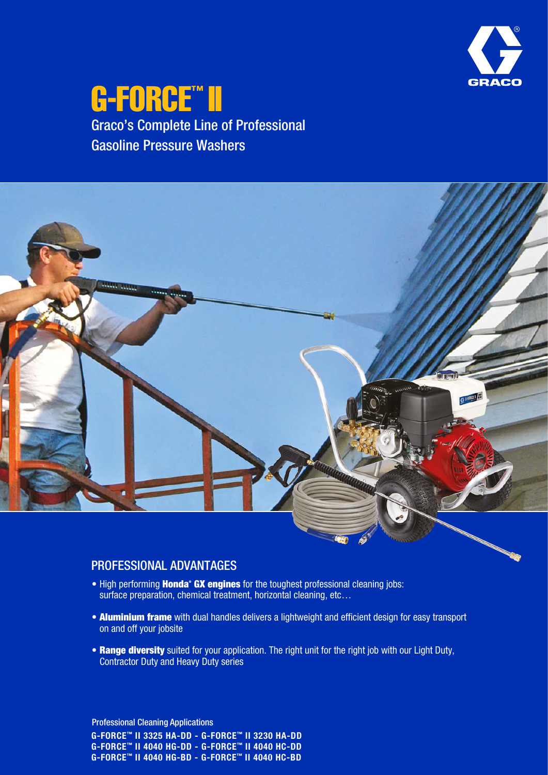

## G-FORCE™ II Graco's Complete Line of Professional Gasoline Pressure Washers



#### PROFESSIONAL ADVANTAGES

- High performing **Honda<sup>®</sup> GX engines** for the toughest professional cleaning jobs: surface preparation, chemical treatment, horizontal cleaning, etc…
- Aluminium frame with dual handles delivers a lightweight and efficient design for easy transport on and off your jobsite
- Range diversity suited for your application. The right unit for the right job with our Light Duty, Contractor Duty and Heavy Duty series

G-FORCE™ II 3325 HA-DD - G-FORCE™ II 3230 HA-DD G-FORCE™ II 4040 HG-DD - G-FORCE™ II 4040 HC-DD G-FORCE™ II 4040 HG-BD - G-FORCE™ II 4040 HC-BD Professional Cleaning Applications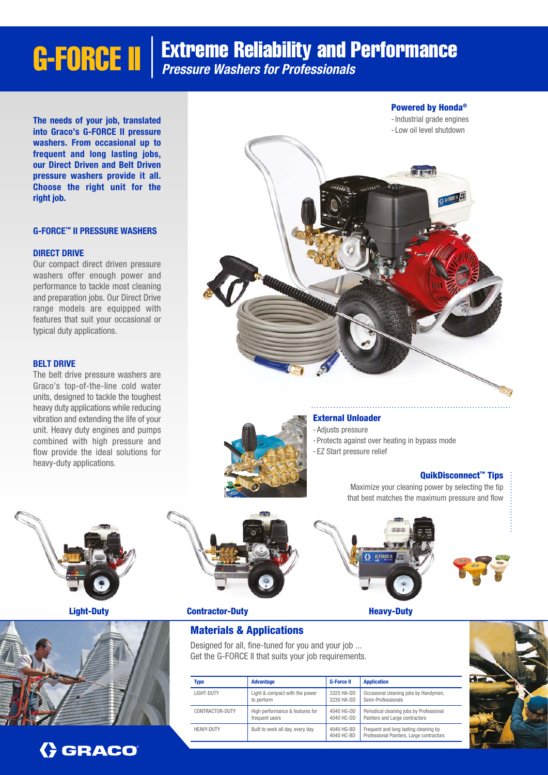# **G-FORCE II** | Extreme Reliability and Performance

The needs of your job, translated into Graco's G-FORCE II pressure washers. From occasional up to frequent and long lasting jobs, our Direct Driven and Belt Driven pressure washers provide it all. Choose the right unit for the right job.

#### G-FORCE™ II PRESSURE WASHERS

#### DIRECT DRIVE

Our compact direct driven pressure washers offer enough power and performance to tackle most cleaning and preparation jobs. Our Direct Drive range models are equipped with features that suit your occasional or typical duty applications.

#### BELT DRIVE

The belt drive pressure washers are Graco's top-of-the-line cold water units, designed to tackle the toughest heavy duty applications while reducing vibration and extending the life of your unit. Heavy duty engines and pumps combined with high pressure and flow provide the ideal solutions for heavy-duty applications.



#### External Unloader

-Adjusts pressure

- -Protects against over heating in bypass mode
- EZ Start pressure relief

#### QuikDisconnect<sup>™</sup> Tips

Maximize your cleaning power by selecting the tip that best matches the maximum pressure and flow







Light-Duty **Contractor-Duty** Contractor-Duty

#### Materials & Applications

Designed for all, fine-tuned for you and your job ... Get the G-FORCE II that suits your job requirements.

| <b>Type</b>       | <b>Advantage</b>                 | <b>G-Force II</b>        | <b>Application</b>                                                                |
|-------------------|----------------------------------|--------------------------|-----------------------------------------------------------------------------------|
| LIGHT-DUTY        | Light & compact with the power   | 3325 HA-DD               | Occasional cleaning jobs by Handymen,                                             |
|                   | to perform                       | 3230 HA-DD               | Semi-Professionals                                                                |
| CONTRACTOR-DUTY   | High performance & features for  | 4040 HG-DD               | Periodical cleaning jobs by Professional                                          |
|                   | frequent users                   | 4040 HC-DD               | Painters and Large contractors                                                    |
| <b>HEAVY-DUTY</b> | Built to work all day, every day | 4040 HG-BD<br>4040 HC-BD | Frequent and long lasting cleaning by<br>Professional Painters, Large contractors |



## **GRACO**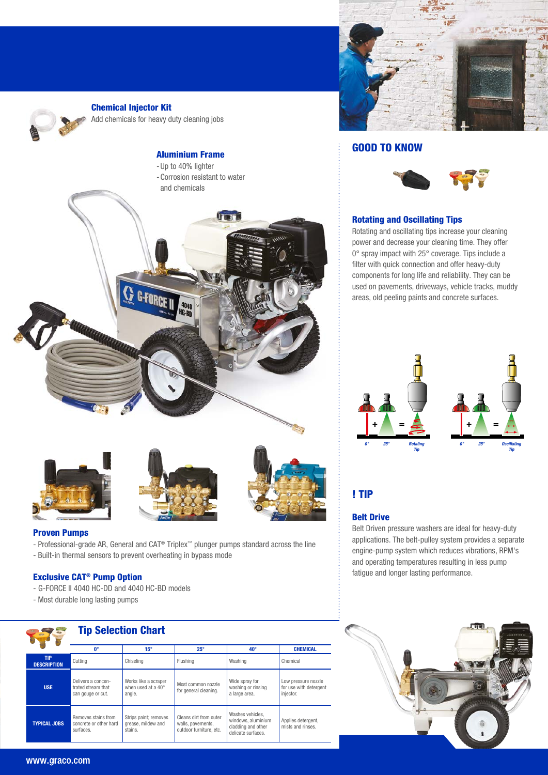

Chemical Injector Kit

Add chemicals for heavy duty cleaning jobs



- Professional-grade AR, General and CAT® Triplex™ plunger pumps standard across the line
- Built-in thermal sensors to prevent overheating in bypass mode

#### Exclusive CAT® Pump Option

- G-FORCE II 4040 HC-DD and 4040 HC-BD models
- Most durable long lasting pumps

|                                                                                   | <b>Tip Selection Chart</b>                                                                                                     |                                                        |                                                                        |                                                                                    |                                         |  |  |
|-----------------------------------------------------------------------------------|--------------------------------------------------------------------------------------------------------------------------------|--------------------------------------------------------|------------------------------------------------------------------------|------------------------------------------------------------------------------------|-----------------------------------------|--|--|
|                                                                                   | n°                                                                                                                             | $15^\circ$                                             | $25^\circ$                                                             | $40^{\circ}$                                                                       | <b>CHEMICAL</b>                         |  |  |
| <b>TIP</b><br><b>DESCRIPTION</b>                                                  | Cutting                                                                                                                        | Chiseling                                              | Flushing                                                               | Washing                                                                            | Chemical                                |  |  |
| <b>USE</b>                                                                        | Delivers a concen-<br>Works like a scraper<br>when used at a $40^{\circ}$<br>trated stream that<br>angle.<br>can gouge or cut. |                                                        | Most common nozzle<br>for general cleaning.                            | Wide spray for<br>washing or rinsing<br>a large area.                              |                                         |  |  |
| Removes stains from<br><b>TYPICAL JOBS</b><br>concrete or other hard<br>surfaces. |                                                                                                                                | Strips paint; removes<br>grease, mildew and<br>stains. | Cleans dirt from outer<br>walls, pavements.<br>outdoor furniture, etc. | Washes vehicles.<br>windows, aluminium<br>cladding and other<br>delicate surfaces. | Applies detergent,<br>mists and rinses. |  |  |



#### GOOD TO KNOW



#### Rotating and Oscillating Tips

Rotating and oscillating tips increase your cleaning power and decrease your cleaning time. They offer 0° spray impact with 25° coverage. Tips include a filter with quick connection and offer heavy-duty components for long life and reliability. They can be used on pavements, driveways, vehicle tracks, muddy areas, old peeling paints and concrete surfaces.



#### ! TIP

#### Belt Drive

Belt Driven pressure washers are ideal for heavy-duty applications. The belt-pulley system provides a separate engine-pump system which reduces vibrations, RPM's and operating temperatures resulting in less pump fatigue and longer lasting performance.



#### www.graco.com